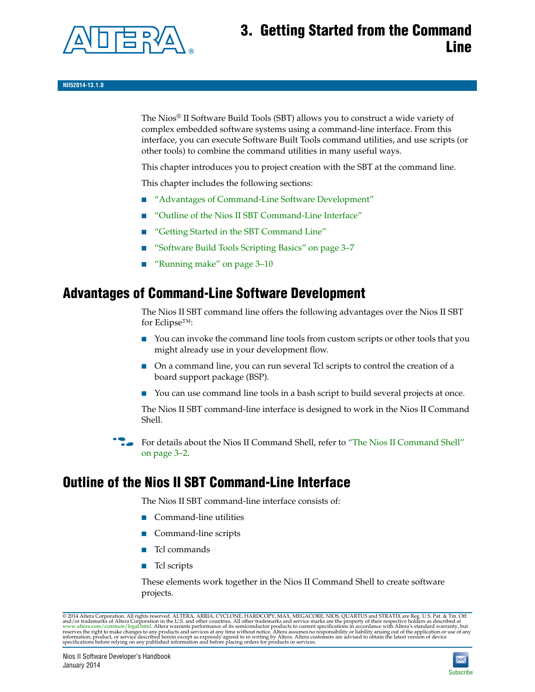

# **3. Getting Started from the Command Line**

The Nios® II Software Build Tools (SBT) allows you to construct a wide variety of complex embedded software systems using a command-line interface. From this interface, you can execute Software Built Tools command utilities, and use scripts (or other tools) to combine the command utilities in many useful ways.

This chapter introduces you to project creation with the SBT at the command line.

This chapter includes the following sections:

- ["Advantages of Command-Line Software Development"](#page-0-0)
- ["Outline of the Nios II SBT Command-Line Interface"](#page-0-1)
- ["Getting Started in the SBT Command Line"](#page-2-0)
- ["Software Build Tools Scripting Basics" on page 3–7](#page-6-0)
- ["Running make" on page 3–10](#page-9-0)

# <span id="page-0-0"></span>**Advantages of Command-Line Software Development**

The Nios II SBT command line offers the following advantages over the Nios II SBT for Eclipse™:

- You can invoke the command line tools from custom scripts or other tools that you might already use in your development flow.
- On a command line, you can run several Tcl scripts to control the creation of a board support package (BSP).
- You can use command line tools in a bash script to build several projects at once.

The Nios II SBT command-line interface is designed to work in the Nios II Command Shell.

For details about the Nios II Command Shell, refer to "The Nios II Command Shell" [on page 3–2.](#page-1-0)

# <span id="page-0-1"></span>**Outline of the Nios II SBT Command-Line Interface**

The Nios II SBT command-line interface consists of:

- Command-line utilities
- Command-line scripts
- Tcl commands
- Tcl scripts

These elements work together in the Nios II Command Shell to create software projects.

© 2014 Altera Corporation. All rights reserved. ALTERA, ARRIA, CYCLONE, HARDCOPY, MAX, MEGACORE, NIOS, QUARTUS and STRATIX are Reg. U.S. Pat. & Tm. Off. and/or trademarks of Altera Corporation in the U.S. and other countri

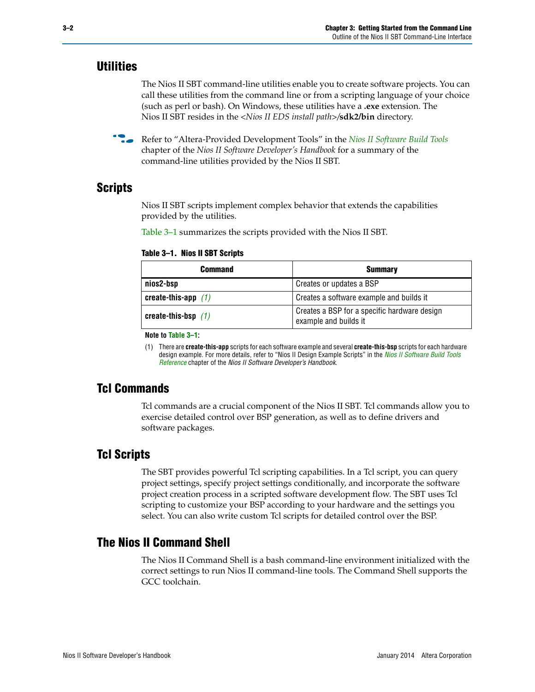### **Utilities**

The Nios II SBT command-line utilities enable you to create software projects. You can call these utilities from the command line or from a scripting language of your choice (such as perl or bash). On Windows, these utilities have a **.exe** extension. The Nios II SBT resides in the *<Nios II EDS install path>/***sdk2/bin** directory.

f Refer to "Altera-Provided Development Tools" in the *[Nios II Software Build Tools](http://www.altera.com/literature/hb/nios2/n2sw_nii52015.pdf)* chapter of the *Nios II Software Developer's Handbook* for a summary of the command-line utilities provided by the Nios II SBT.

### **Scripts**

Nios II SBT scripts implement complex behavior that extends the capabilities provided by the utilities.

[Table 3–1](#page-1-1) summarizes the scripts provided with the Nios II SBT.

<span id="page-1-1"></span>

| Table 3–1. Nios II SBT Scripts |  |  |  |  |  |  |  |  |
|--------------------------------|--|--|--|--|--|--|--|--|
|--------------------------------|--|--|--|--|--|--|--|--|

| <b>Command</b>        | <b>Summary</b>                                                        |
|-----------------------|-----------------------------------------------------------------------|
| nios2-bsp             | Creates or updates a BSP                                              |
| create-this-app $(1)$ | Creates a software example and builds it                              |
| create-this-bsp $(1)$ | Creates a BSP for a specific hardware design<br>example and builds it |

**Note to [Table 3–1](#page-1-1):**

<span id="page-1-2"></span>(1) There are **create-this-app** scripts for each software example and several **create-this-bsp** scripts for each hardware design example. For more details, refer to "Nios II Design Example Scripts" in the *[Nios II Software Build Tools](http://www.altera.com/literature/hb/nios2/n2sw_nii52016.pdf)  [Reference](http://www.altera.com/literature/hb/nios2/n2sw_nii52016.pdf)* chapter of the *Nios II Software Developer's Handbook*.

## **Tcl Commands**

Tcl commands are a crucial component of the Nios II SBT. Tcl commands allow you to exercise detailed control over BSP generation, as well as to define drivers and software packages.

## **Tcl Scripts**

The SBT provides powerful Tcl scripting capabilities. In a Tcl script, you can query project settings, specify project settings conditionally, and incorporate the software project creation process in a scripted software development flow. The SBT uses Tcl scripting to customize your BSP according to your hardware and the settings you select. You can also write custom Tcl scripts for detailed control over the BSP.

## <span id="page-1-0"></span>**The Nios II Command Shell**

The Nios II Command Shell is a bash command-line environment initialized with the correct settings to run Nios II command-line tools. The Command Shell supports the GCC toolchain.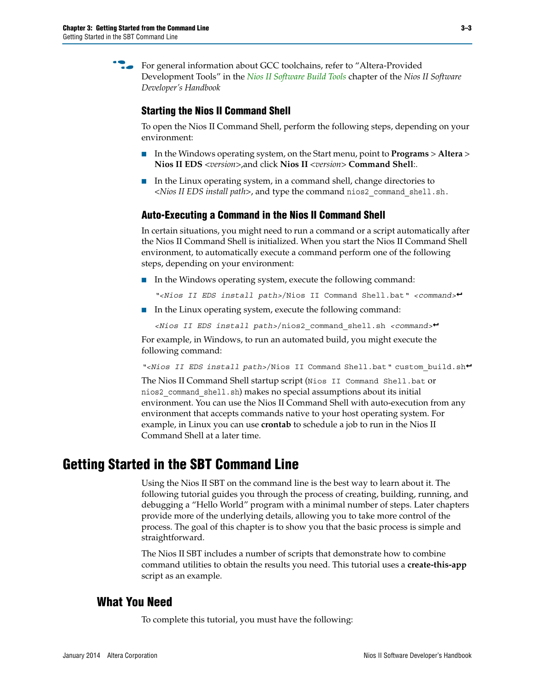For general information about GCC toolchains, refer to "Altera-Provided Development Tools" in the *[Nios II Software Build Tools](http://www.altera.com/literature/hb/nios2/n2sw_nii52015.pdf)* chapter of the *Nios II Software Developer's Handbook* 

### **Starting the Nios II Command Shell**

To open the Nios II Command Shell, perform the following steps, depending on your environment:

- In the Windows operating system, on the Start menu, point to **Programs** > **Altera** > **Nios II EDS** *<version>*,and click **Nios II** *<version>* **Command Shell**:.
- In the Linux operating system, in a command shell, change directories to *<Nios II EDS install path>*, and type the command nios2\_command\_shell.sh.

### **Auto-Executing a Command in the Nios II Command Shell**

In certain situations, you might need to run a command or a script automatically after the Nios II Command Shell is initialized. When you start the Nios II Command Shell environment, to automatically execute a command perform one of the following steps, depending on your environment:

■ In the Windows operating system, execute the following command:

*"<Nios II EDS install path>*/Nios II Command Shell.bat*" <command>*r

■ In the Linux operating system, execute the following command:

*<Nios II EDS install path>*/nios2\_command\_shell.sh *<command>*r

For example, in Windows, to run an automated build, you might execute the following command:

*"<Nios II EDS install path>*/Nios II Command Shell.bat*"* custom\_build.shr

The Nios II Command Shell startup script (Nios II Command Shell.bat or nios2\_command\_shell.sh) makes no special assumptions about its initial environment. You can use the Nios II Command Shell with auto-execution from any environment that accepts commands native to your host operating system. For example, in Linux you can use **crontab** to schedule a job to run in the Nios II Command Shell at a later time.

# <span id="page-2-0"></span>**Getting Started in the SBT Command Line**

Using the Nios II SBT on the command line is the best way to learn about it. The following tutorial guides you through the process of creating, building, running, and debugging a "Hello World" program with a minimal number of steps. Later chapters provide more of the underlying details, allowing you to take more control of the process. The goal of this chapter is to show you that the basic process is simple and straightforward.

The Nios II SBT includes a number of scripts that demonstrate how to combine command utilities to obtain the results you need. This tutorial uses a **create-this-app** script as an example.

### **What You Need**

To complete this tutorial, you must have the following: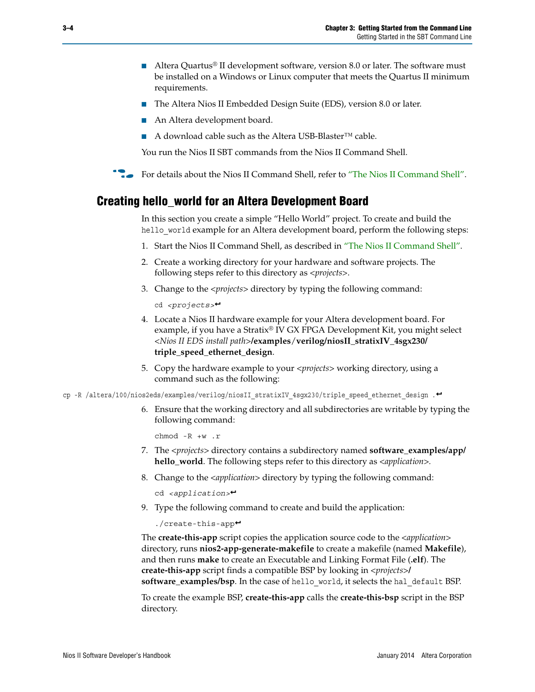- Altera Quartus<sup>®</sup> II development software, version 8.0 or later. The software must be installed on a Windows or Linux computer that meets the Quartus II minimum requirements.
- The Altera Nios II Embedded Design Suite (EDS), version 8.0 or later.
- An Altera development board.
- A download cable such as the Altera USB-Blaster<sup>™</sup> cable.

You run the Nios II SBT commands from the Nios II Command Shell.

For details about the Nios II Command Shell, refer to ["The Nios II Command Shell".](#page-1-0)

### **Creating hello\_world for an Altera Development Board**

In this section you create a simple "Hello World" project. To create and build the hello world example for an Altera development board, perform the following steps:

- 1. Start the Nios II Command Shell, as described in ["The Nios II Command Shell".](#page-1-0)
- 2. Create a working directory for your hardware and software projects. The following steps refer to this directory as *<projects>*.
- 3. Change to the *<projects>* directory by typing the following command:

cd *<projects>*r

- 4. Locate a Nios II hardware example for your Altera development board. For example, if you have a Stratix® IV GX FPGA Development Kit, you might select *<Nios II EDS install path>***/examples**/**verilog/niosII\_stratixIV\_4sgx230/ triple\_speed\_ethernet\_design**.
- 5. Copy the hardware example to your *<projects>* working directory, using a command such as the following:

cp -R /altera/100/nios2eds/examples/verilog/niosII\_stratixIV\_4sgx230/triple\_speed\_ethernet\_design .<sup>+</sup>

6. Ensure that the working directory and all subdirectories are writable by typing the following command:

chmod -R +w .r

- 7. The *<projects>* directory contains a subdirectory named **software\_examples/app/ hello\_world**. The following steps refer to this directory as *<application>.*
- 8. Change to the *<application>* directory by typing the following command:

cd *<application>*r

9. Type the following command to create and build the application:

 $./create-this-app+$ 

The **create-this-app** script copies the application source code to the *<application>* directory, runs **nios2-app-generate-makefile** to create a makefile (named **Makefile**), and then runs **make** to create an Executable and Linking Format File (**.elf**). The **create-this-app** script finds a compatible BSP by looking in *<projects>***/ software\_examples/bsp**. In the case of hello\_world, it selects the hal\_default BSP.

To create the example BSP, **create-this-app** calls the **create-this-bsp** script in the BSP directory.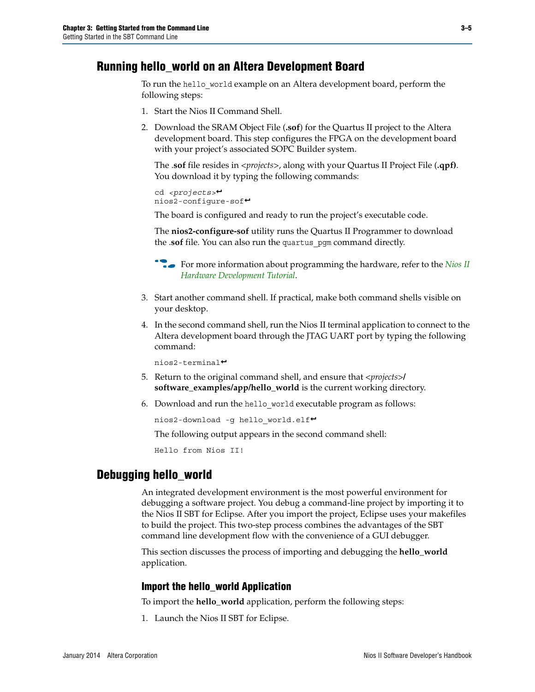## **Running hello\_world on an Altera Development Board**

To run the hello world example on an Altera development board, perform the following steps:

- 1. Start the Nios II Command Shell.
- 2. Download the SRAM Object File (**.sof**) for the Quartus II project to the Altera development board. This step configures the FPGA on the development board with your project's associated SOPC Builder system.

The .**sof** file resides in *<projects>*, along with your Quartus II Project File (**.qpf)**. You download it by typing the following commands:

```
cd <projects>r
nios2-configure-sofr
```
The board is configured and ready to run the project's executable code.

The **nios2-configure-sof** utility runs the Quartus II Programmer to download the .**sof** file. You can also run the quartus\_pgm command directly.

**for more information about programming the hardware, refer to the** *Nios II* **<b>c** *[Hardware Development Tutorial](http://www.altera.com/literature/tt/tt_nios2_hardware_tutorial.pdf)*.

- 3. Start another command shell. If practical, make both command shells visible on your desktop.
- 4. In the second command shell, run the Nios II terminal application to connect to the Altera development board through the JTAG UART port by typing the following command:

 $nios2-terminal \rightarrow$ 

- 5. Return to the original command shell, and ensure that *<projects>***/ software\_examples/app/hello\_world** is the current working directory.
- 6. Download and run the hello world executable program as follows:

nios2-download -g hello\_world.elf<sup>+</sup>

The following output appears in the second command shell:

Hello from Nios II!

### **Debugging hello\_world**

An integrated development environment is the most powerful environment for debugging a software project. You debug a command-line project by importing it to the Nios II SBT for Eclipse. After you import the project, Eclipse uses your makefiles to build the project. This two-step process combines the advantages of the SBT command line development flow with the convenience of a GUI debugger.

This section discusses the process of importing and debugging the **hello\_world** application.

#### **Import the hello\_world Application**

To import the **hello\_world** application, perform the following steps:

1. Launch the Nios II SBT for Eclipse.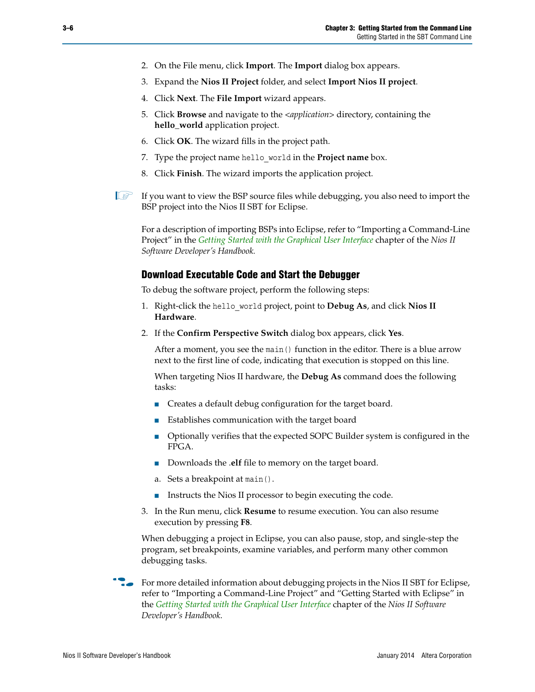- 2. On the File menu, click **Import**. The **Import** dialog box appears.
- 3. Expand the **Nios II Project** folder, and select **Import Nios II project**.
- 4. Click **Next**. The **File Import** wizard appears.
- 5. Click **Browse** and navigate to the *<application>* directory, containing the **hello\_world** application project.
- 6. Click **OK**. The wizard fills in the project path.
- 7. Type the project name hello\_world in the **Project name** box.
- 8. Click **Finish**. The wizard imports the application project.
- $\Box$  If you want to view the BSP source files while debugging, you also need to import the BSP project into the Nios II SBT for Eclipse.

For a description of importing BSPs into Eclipse, refer to "Importing a Command-Line Project" in the *[Getting Started with the Graphical User Interface](http://www.altera.com/literature/hb/nios2/n2sw_nii52017.pdf)* chapter of the *Nios II Software Developer's Handbook.*

#### **Download Executable Code and Start the Debugger**

To debug the software project, perform the following steps:

- 1. Right-click the hello\_world project, point to **Debug As**, and click **Nios II Hardware**.
- 2. If the **Confirm Perspective Switch** dialog box appears, click **Yes**.

After a moment, you see the main() function in the editor. There is a blue arrow next to the first line of code, indicating that execution is stopped on this line.

When targeting Nios II hardware, the **Debug As** command does the following tasks:

- Creates a default debug configuration for the target board.
- Establishes communication with the target board
- Optionally verifies that the expected SOPC Builder system is configured in the FPGA.
- Downloads the **.elf** file to memory on the target board.
- a. Sets a breakpoint at main().
- Instructs the Nios II processor to begin executing the code.
- 3. In the Run menu, click **Resume** to resume execution. You can also resume execution by pressing **F8**.

When debugging a project in Eclipse, you can also pause, stop, and single-step the program, set breakpoints, examine variables, and perform many other common debugging tasks.

For more detailed information about debugging projects in the Nios II SBT for Eclipse, refer to "Importing a Command-Line Project" and "Getting Started with Eclipse" in the *[Getting Started with the Graphical User Interface](http://www.altera.com/literature/hb/nios2/n2sw_nii52017.pdf)* chapter of the *Nios II Software Developer's Handbook*.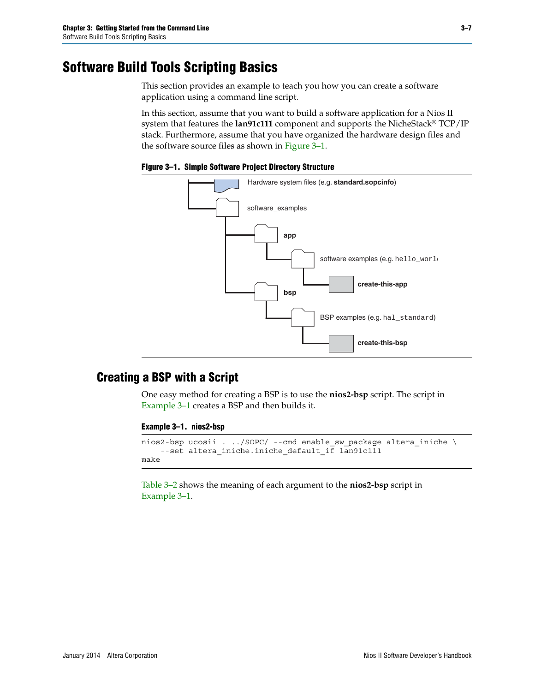# <span id="page-6-0"></span>**Software Build Tools Scripting Basics**

This section provides an example to teach you how you can create a software application using a command line script.

In this section, assume that you want to build a software application for a Nios II system that features the **lan91c111** component and supports the NicheStack® TCP/IP stack. Furthermore, assume that you have organized the hardware design files and the software source files as shown in [Figure 3–1](#page-6-1).

<span id="page-6-1"></span>**Figure 3–1. Simple Software Project Directory Structure**



## **Creating a BSP with a Script**

One easy method for creating a BSP is to use the **nios2-bsp** script. The script in [Example 3–1](#page-6-2) creates a BSP and then builds it.

#### <span id="page-6-2"></span>**Example 3–1. nios2-bsp**

```
nios2-bsp ucosii . ../SOPC/ --cmd enable_sw_package altera_iniche \setminus--set altera_iniche.iniche_default_if lan91c111
make
```
[Table 3–2](#page-7-0) shows the meaning of each argument to the **nios2-bsp** script in [Example 3–1](#page-6-2).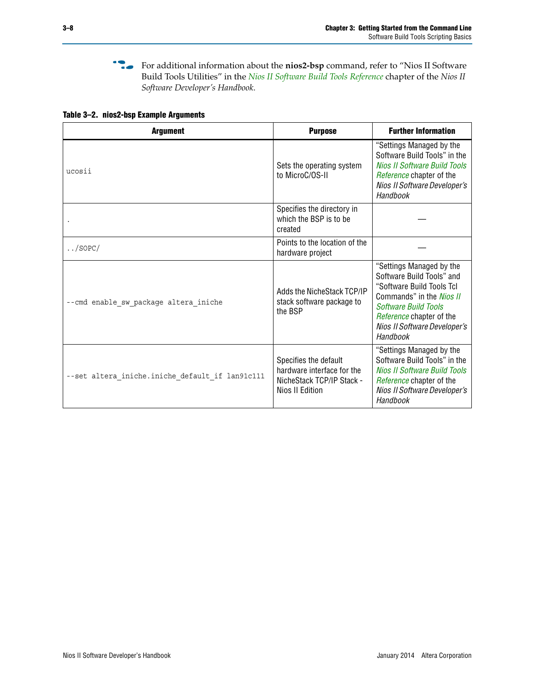**f** For additional information about the nios2-bsp command, refer to "Nios II Software Build Tools Utilities" in the *[Nios II Software Build Tools Reference](http://www.altera.com/literature/hb/nios2/n2sw_nii52016.pdf)* chapter of the *Nios II Software Developer's Handbook*.

#### <span id="page-7-0"></span>**Table 3–2. nios2-bsp Example Arguments**

| <b>Argument</b>                                 | <b>Purpose</b>                                                                                      | <b>Further Information</b>                                                                                                                                                                                                   |
|-------------------------------------------------|-----------------------------------------------------------------------------------------------------|------------------------------------------------------------------------------------------------------------------------------------------------------------------------------------------------------------------------------|
| ucosii                                          | Sets the operating system<br>to MicroC/OS-II                                                        | "Settings Managed by the<br>Software Build Tools" in the<br><b>Nios II Software Build Tools</b><br>Reference chapter of the<br>Nios II Software Developer's<br>Handbook                                                      |
|                                                 | Specifies the directory in<br>which the BSP is to be<br>created                                     |                                                                                                                                                                                                                              |
| $\ldots$ /SOPC/                                 | Points to the location of the<br>hardware project                                                   |                                                                                                                                                                                                                              |
| --cmd enable sw package altera iniche           | Adds the NicheStack TCP/IP<br>stack software package to<br>the BSP                                  | "Settings Managed by the<br>Software Build Tools" and<br>"Software Build Tools Tcl<br>Commands" in the <i>Nios II</i><br><b>Software Build Tools</b><br>Reference chapter of the<br>Nios II Software Developer's<br>Handbook |
| --set altera iniche.iniche default if lan91c111 | Specifies the default<br>hardware interface for the<br>NicheStack TCP/IP Stack -<br>Nios II Edition | "Settings Managed by the<br>Software Build Tools" in the<br>Nios II Software Build Tools<br>Reference chapter of the<br>Nios II Software Developer's<br>Handbook                                                             |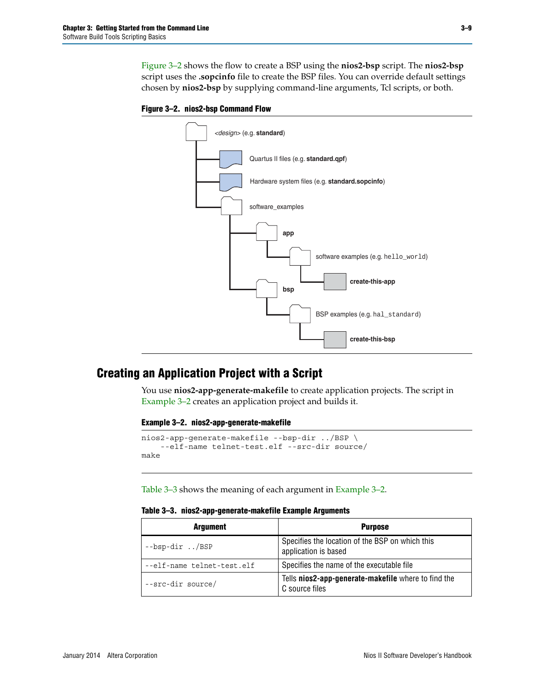[Figure 3–2](#page-8-0) shows the flow to create a BSP using the **nios2-bsp** script. The **nios2-bsp** script uses the **.sopcinfo** file to create the BSP files. You can override default settings chosen by **nios2-bsp** by supplying command-line arguments, Tcl scripts, or both.

<span id="page-8-0"></span>



## **Creating an Application Project with a Script**

You use **nios2-app-generate-makefile** to create application projects. The script in [Example 3–2](#page-8-1) creates an application project and builds it.

#### <span id="page-8-1"></span>**Example 3–2. nios2-app-generate-makefile**

```
nios2-app-generate-makefile --bsp-dir ../BSP \
    --elf-name telnet-test.elf --src-dir source/
make
```
[Table 3–3](#page-8-2) shows the meaning of each argument in [Example 3–2](#page-8-1).

<span id="page-8-2"></span>

|  | Table 3-3. nios2-app-generate-makefile Example Arguments |  |
|--|----------------------------------------------------------|--|
|--|----------------------------------------------------------|--|

| <b>Argument</b>            | <b>Purpose</b>                                                          |
|----------------------------|-------------------------------------------------------------------------|
| $-$ bsp-dir/BSP            | Specifies the location of the BSP on which this<br>application is based |
| --elf-name telnet-test.elf | Specifies the name of the executable file                               |
| --src-dir source/          | Tells nios2-app-generate-makefile where to find the<br>C source files   |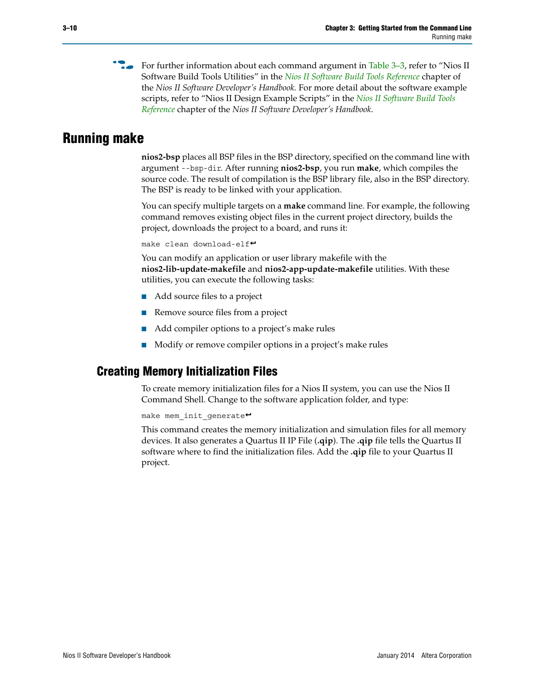**For further information about each command argument in [Table 3–3](#page-8-2), refer to "Nios II** Software Build Tools Utilities" in the *[Nios II Software Build Tools Reference](http://www.altera.com/literature/hb/nios2/n2sw_nii52016.pdf)* chapter of the *Nios II Software Developer's Handbook.* For more detail about the software example scripts, refer to "Nios II Design Example Scripts" in the *[Nios II Software Build Tools](http://www.altera.com/literature/hb/nios2/n2sw_nii52016.pdf)  [Reference](http://www.altera.com/literature/hb/nios2/n2sw_nii52016.pdf)* chapter of the *Nios II Software Developer's Handbook*.

# <span id="page-9-0"></span>**Running make**

**nios2-bsp** places all BSP files in the BSP directory, specified on the command line with argument --bsp-dir. After running **nios2-bsp**, you run **make**, which compiles the source code. The result of compilation is the BSP library file, also in the BSP directory. The BSP is ready to be linked with your application.

You can specify multiple targets on a **make** command line. For example, the following command removes existing object files in the current project directory, builds the project, downloads the project to a board, and runs it:

```
make clean download-elf\blacktriangleleft
```
You can modify an application or user library makefile with the **nios2-lib-update-makefile** and **nios2-app-update-makefile** utilities. With these utilities, you can execute the following tasks:

- Add source files to a project
- Remove source files from a project
- Add compiler options to a project's make rules
- Modify or remove compiler options in a project's make rules

# **Creating Memory Initialization Files**

To create memory initialization files for a Nios II system, you can use the Nios II Command Shell. Change to the software application folder, and type:

```
make mem init generate<sup>+</sup>
```
This command creates the memory initialization and simulation files for all memory devices. It also generates a Quartus II IP File (**.qip**). The **.qip** file tells the Quartus II software where to find the initialization files. Add the **.qip** file to your Quartus II project.